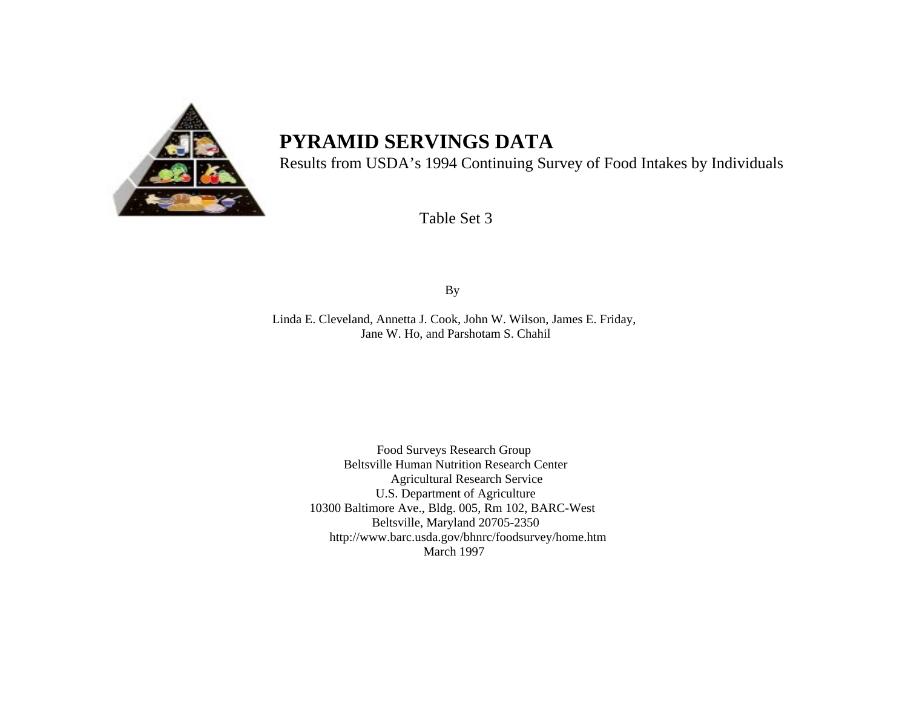

# **PYRAMID SERVINGS DATA**

Results from USDA's 1994 Continuing Survey of Food Intakes by Individuals

Table Set 3

By

Linda E. Cleveland, Annetta J. Cook, John W. Wilson, James E. Friday, Jane W. Ho, and Parshotam S. Chahil

> Food Surveys Research Group Beltsville Human Nutrition Research Center Agricultural Research Service U.S. Department of Agriculture 10300 Baltimore Ave., Bldg. 005, Rm 102, BARC-West Beltsville, Maryland 20705-2350 http://www.barc.usda.gov/bhnrc/foodsurvey/home.htm March 1997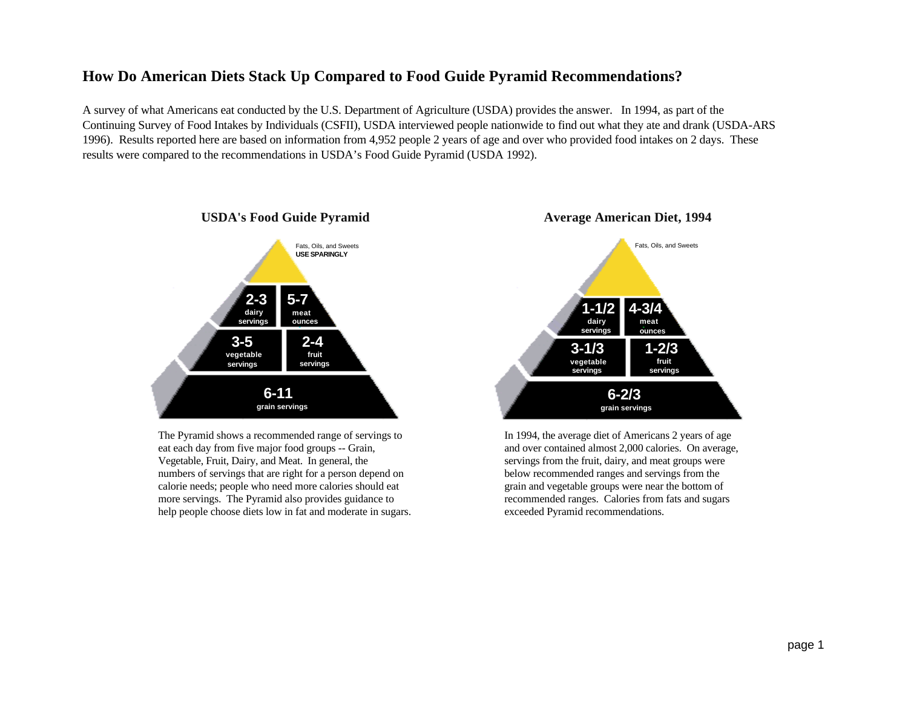# **How Do American Diets Stack Up Compared to Food Guide Pyramid Recommendations?**

A survey of what Americans eat conducted by the U.S. Department of Agriculture (USDA) provides the answer. In 1994, as part of the Continuing Survey of Food Intakes by Individuals (CSFII), USDA interviewed people nationwide to find out what they ate and drank (USDA-ARS 1996). Results reported here are based on information from 4,952 people 2 years of age and over who provided food intakes on 2 days. These results were compared to the recommendations in USDA's Food Guide Pyramid (USDA 1992).



The Pyramid shows a recommended range of servings to eat each day from five major food groups -- Grain, Vegetable, Fruit, Dairy, and Meat. In general, the numbers of servings that are right for a person depend on calorie needs; people who need more calories should eat more servings. The Pyramid also provides guidance to help people choose diets low in fat and moderate in sugars.



In 1994, the average diet of Americans 2 years of age and over contained almost 2,000 calories. On average, servings from the fruit, dairy, and meat groups were below recommended ranges and servings from the grain and vegetable groups were near the bottom of recommended ranges. Calories from fats and sugars exceeded Pyramid recommendations.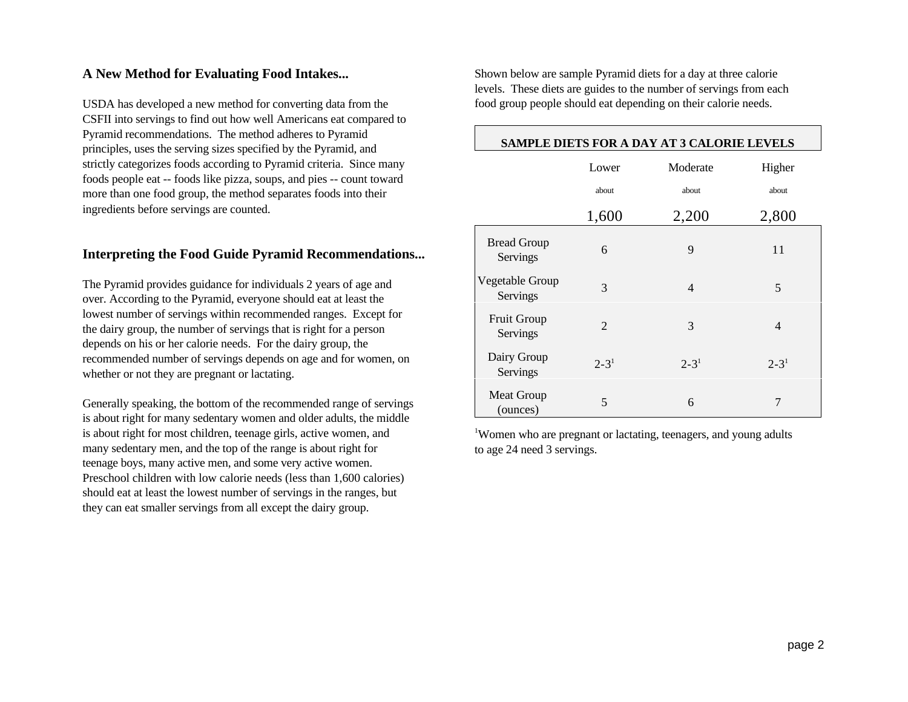# **A New Method for Evaluating Food Intakes...**

USDA has developed a new method for converting data from the CSFII into servings to find out how well Americans eat compared to Pyramid recommendations. The method adheres to Pyramid principles, uses the serving sizes specified by the Pyramid, and strictly categorizes foods according to Pyramid criteria. Since many foods people eat -- foods like pizza, soups, and pies -- count toward more than one food group, the method separates foods into their ingredients before servings are counted.

# **Interpreting the Food Guide Pyramid Recommendations...**

The Pyramid provides guidance for individuals 2 years of age and over. According to the Pyramid, everyone should eat at least the lowest number of servings within recommended ranges. Except for the dairy group, the number of servings that is right for a person depends on his or her calorie needs. For the dairy group, the recommended number of servings depends on age and for women, on whether or not they are pregnant or lactating.

Generally speaking, the bottom of the recommended range of servings is about right for many sedentary women and older adults, the middle is about right for most children, teenage girls, active women, and many sedentary men, and the top of the range is about right for teenage boys, many active men, and some very active women. Preschool children with low calorie needs (less than 1,600 calories) should eat at least the lowest number of servings in the ranges, but they can eat smaller servings from all except the dairy group.

Shown below are sample Pyramid diets for a day at three calorie levels. These diets are guides to the number of servings from each food group people should eat depending on their calorie needs.

┌

| SAMPLE DIETS FOR A DAY AT 3 CALORIE LEVELS |                |                |                |  |  |  |  |  |
|--------------------------------------------|----------------|----------------|----------------|--|--|--|--|--|
|                                            | Lower          | Moderate       | Higher         |  |  |  |  |  |
|                                            | about          | about          | about          |  |  |  |  |  |
|                                            | 1,600          | 2,200          | 2,800          |  |  |  |  |  |
| <b>Bread Group</b><br>Servings             | 6              | 9              | 11             |  |  |  |  |  |
| Vegetable Group<br>Servings                | 3              | $\overline{4}$ | 5              |  |  |  |  |  |
| <b>Fruit Group</b><br>Servings             | $\overline{2}$ | 3              | $\overline{4}$ |  |  |  |  |  |
| Dairy Group<br>Servings                    | $2 - 3^1$      | $2 - 31$       | $2 - 31$       |  |  |  |  |  |
| <b>Meat Group</b><br>(ounces)              | 5              | 6              | 7              |  |  |  |  |  |

Women who are pregnant or lactating, teenagers, and young adults <sup>1</sup> to age 24 need 3 servings.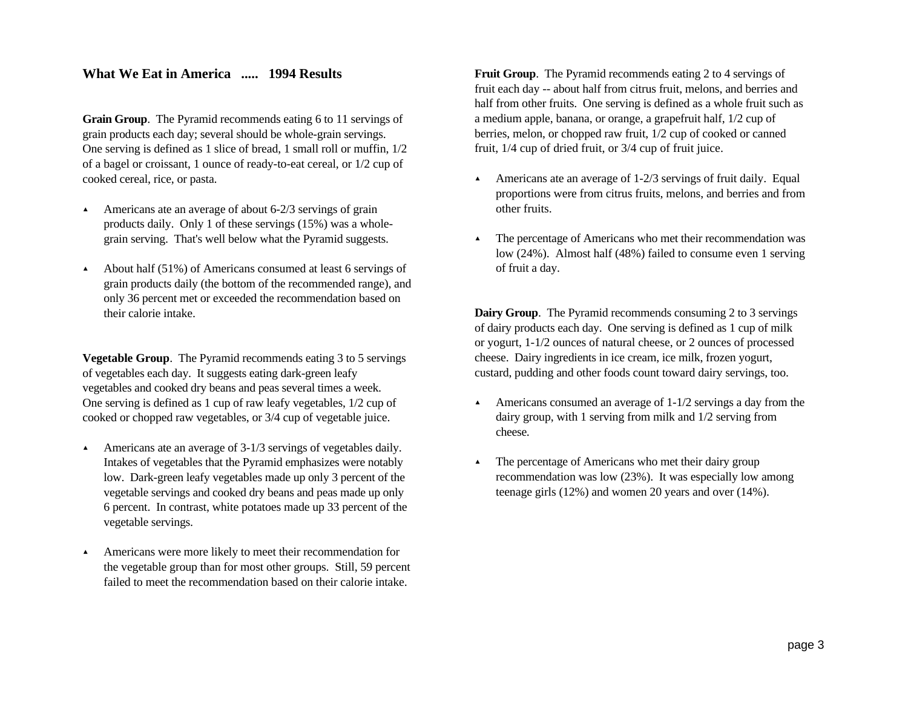# **What We Eat in America ..... 1994 Results**

**Grain Group**. The Pyramid recommends eating 6 to 11 servings of grain products each day; several should be whole-grain servings. One serving is defined as 1 slice of bread, 1 small roll or muffin, 1/2 of a bagel or croissant, 1 ounce of ready-to-eat cereal, or 1/2 cup of cooked cereal, rice, or pasta.

- $\blacktriangle$  Americans ate an average of about 6-2/3 servings of grain products daily. Only 1 of these servings (15%) was a wholegrain serving. That's well below what the Pyramid suggests.
- > About half (51%) of Americans consumed at least 6 servings of grain products daily (the bottom of the recommended range), and only 36 percent met or exceeded the recommendation based on their calorie intake.

**Vegetable Group**. The Pyramid recommends eating 3 to 5 servings of vegetables each day. It suggests eating dark-green leafy vegetables and cooked dry beans and peas several times a week. One serving is defined as 1 cup of raw leafy vegetables, 1/2 cup of cooked or chopped raw vegetables, or 3/4 cup of vegetable juice.

- $\blacktriangle$  Americans ate an average of 3-1/3 servings of vegetables daily. Intakes of vegetables that the Pyramid emphasizes were notably low. Dark-green leafy vegetables made up only 3 percent of the vegetable servings and cooked dry beans and peas made up only 6 percent. In contrast, white potatoes made up 33 percent of the vegetable servings.
- $\blacktriangle$  Americans were more likely to meet their recommendation for the vegetable group than for most other groups. Still, 59 percent failed to meet the recommendation based on their calorie intake.

**Fruit Group**. The Pyramid recommends eating 2 to 4 servings of fruit each day -- about half from citrus fruit, melons, and berries and half from other fruits. One serving is defined as a whole fruit such as a medium apple, banana, or orange, a grapefruit half, 1/2 cup of berries, melon, or chopped raw fruit, 1/2 cup of cooked or canned fruit, 1/4 cup of dried fruit, or 3/4 cup of fruit juice.

- Americans ate an average of  $1-2/3$  servings of fruit daily. Equal proportions were from citrus fruits, melons, and berries and from other fruits.
- > The percentage of Americans who met their recommendation was low (24%). Almost half (48%) failed to consume even 1 serving of fruit a day.

**Dairy Group**. The Pyramid recommends consuming 2 to 3 servings of dairy products each day. One serving is defined as 1 cup of milk or yogurt, 1-1/2 ounces of natural cheese, or 2 ounces of processed cheese. Dairy ingredients in ice cream, ice milk, frozen yogurt, custard, pudding and other foods count toward dairy servings, too.

- $\blacktriangle$  Americans consumed an average of 1-1/2 servings a day from the dairy group, with 1 serving from milk and 1/2 serving from cheese.
- > The percentage of Americans who met their dairy group recommendation was low (23%). It was especially low among teenage girls (12%) and women 20 years and over (14%).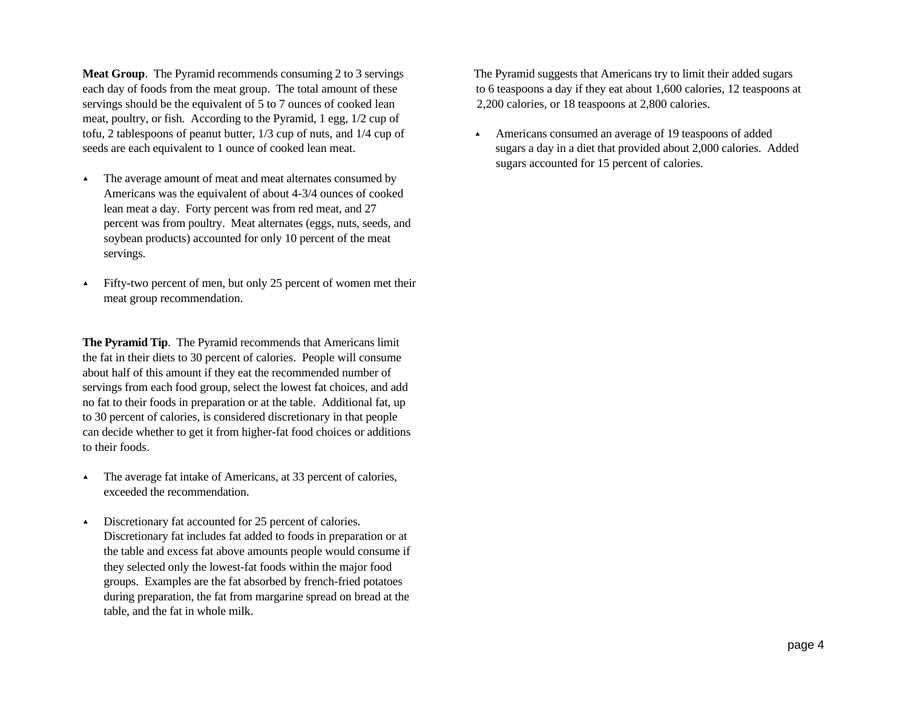**Meat Group**. The Pyramid recommends consuming 2 to 3 servings The Pyramid suggests that Americans try to limit their added sugars each day of foods from the meat group. The total amount of these to 6 teaspoons a day if they eat about 1,600 calories, 12 teaspoons at servings should be the equivalent of 5 to 7 ounces of cooked lean 2,200 calories, or 18 teaspoons at 2,800 calories. meat, poultry, or fish. According to the Pyramid, 1 egg, 1/2 cup of tofu, 2 tablespoons of peanut butter,  $1/3$  cup of nuts, and  $1/4$  cup of  $\overrightarrow{A}$  Americans consumed an average of 19 teaspoons of added seeds are each equivalent to 1 ounce of cooked lean meat. Sugars a day in a diet that provided about 2,000 calories. Added

- > The average amount of meat and meat alternates consumed by Americans was the equivalent of about 4-3/4 ounces of cooked lean meat a day. Forty percent was from red meat, and 27 percent was from poultry. Meat alternates (eggs, nuts, seeds, and soybean products) accounted for only 10 percent of the meat servings.
- $\blacktriangle$  Fifty-two percent of men, but only 25 percent of women met their meat group recommendation.

**The Pyramid Tip**. The Pyramid recommends that Americans limit the fat in their diets to 30 percent of calories. People will consume about half of this amount if they eat the recommended number of servings from each food group, select the lowest fat choices, and add no fat to their foods in preparation or at the table. Additional fat, up to 30 percent of calories, is considered discretionary in that people can decide whether to get it from higher-fat food choices or additions to their foods.

- > The average fat intake of Americans, at 33 percent of calories, exceeded the recommendation.
- $\blacktriangle$  Discretionary fat accounted for 25 percent of calories. Discretionary fat includes fat added to foods in preparation or at the table and excess fat above amounts people would consume if they selected only the lowest-fat foods within the major food groups. Examples are the fat absorbed by french-fried potatoes during preparation, the fat from margarine spread on bread at the table, and the fat in whole milk.

sugars accounted for 15 percent of calories.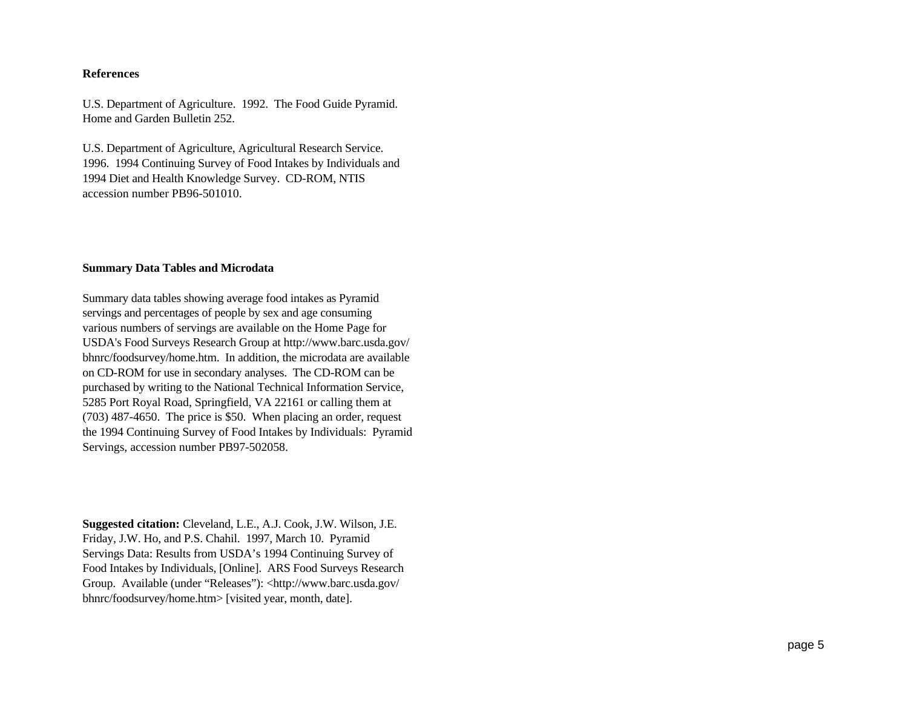#### **References**

U.S. Department of Agriculture. 1992. The Food Guide Pyramid. Home and Garden Bulletin 252.

U.S. Department of Agriculture, Agricultural Research Service. 1996. 1994 Continuing Survey of Food Intakes by Individuals and 1994 Diet and Health Knowledge Survey. CD-ROM, NTIS accession number PB96-501010.

#### **Summary Data Tables and Microdata**

Summary data tables showing average food intakes as Pyramid servings and percentages of people by sex and age consuming various numbers of servings are available on the Home Page for USDA's Food Surveys Research Group at http://www.barc.usda.gov/ bhnrc/foodsurvey/home.htm. In addition, the microdata are available on CD-ROM for use in secondary analyses. The CD-ROM can be purchased by writing to the National Technical Information Service, 5285 Port Royal Road, Springfield, VA 22161 or calling them at (703) 487-4650. The price is \$50. When placing an order, request the 1994 Continuing Survey of Food Intakes by Individuals: Pyramid Servings, accession number PB97-502058.

**Suggested citation:** Cleveland, L.E., A.J. Cook, J.W. Wilson, J.E. Friday, J.W. Ho, and P.S. Chahil. 1997, March 10. Pyramid Servings Data: Results from USDA's 1994 Continuing Survey of Food Intakes by Individuals, [Online]. ARS Food Surveys Research Group. Available (under "Releases"): <http://www.barc.usda.gov/ bhnrc/foodsurvey/home.htm> [visited year, month, date].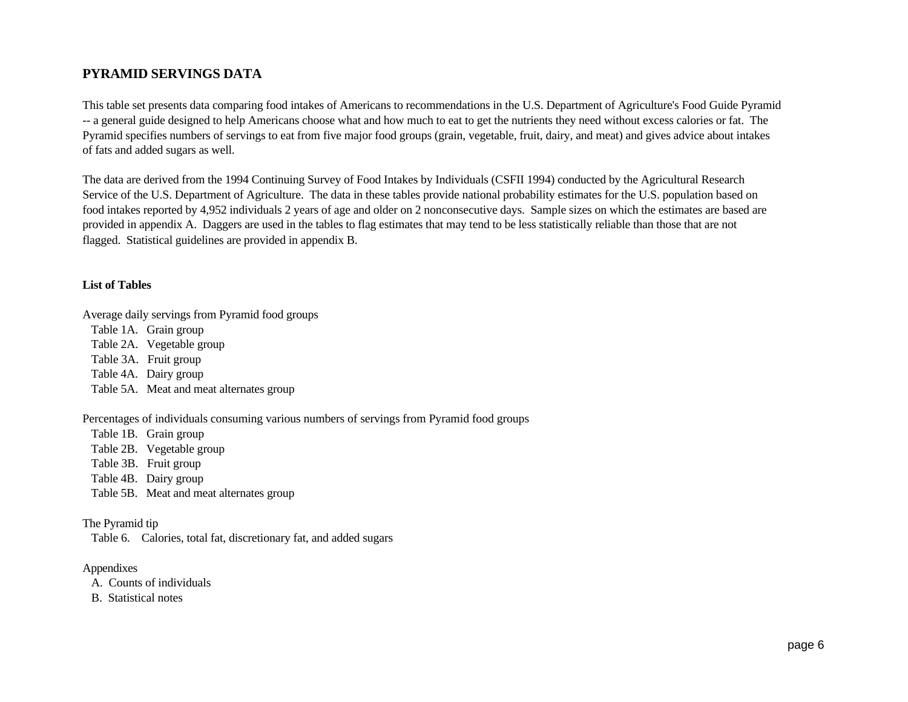# **PYRAMID SERVINGS DATA**

This table set presents data comparing food intakes of Americans to recommendations in the U.S. Department of Agriculture's Food Guide Pyramid -- a general guide designed to help Americans choose what and how much to eat to get the nutrients they need without excess calories or fat. The Pyramid specifies numbers of servings to eat from five major food groups (grain, vegetable, fruit, dairy, and meat) and gives advice about intakes of fats and added sugars as well.

The data are derived from the 1994 Continuing Survey of Food Intakes by Individuals (CSFII 1994) conducted by the Agricultural Research Service of the U.S. Department of Agriculture. The data in these tables provide national probability estimates for the U.S. population based on food intakes reported by 4,952 individuals 2 years of age and older on 2 nonconsecutive days. Sample sizes on which the estimates are based are provided in appendix A. Daggers are used in the tables to flag estimates that may tend to be less statistically reliable than those that are not flagged. Statistical guidelines are provided in appendix B.

#### **List of Tables**

Average daily servings from Pyramid food groups

 Table 1A. Grain group Table 2A. Vegetable group Table 3A. Fruit group Table 4A. Dairy group Table 5A. Meat and meat alternates group

#### Percentages of individuals consuming various numbers of servings from Pyramid food groups

 Table 1B. Grain group Table 2B. Vegetable group Table 3B. Fruit group Table 4B. Dairy group Table 5B. Meat and meat alternates group

#### The Pyramid tip

Table 6. Calories, total fat, discretionary fat, and added sugars

#### Appendixes

A. Counts of individuals

B. Statistical notes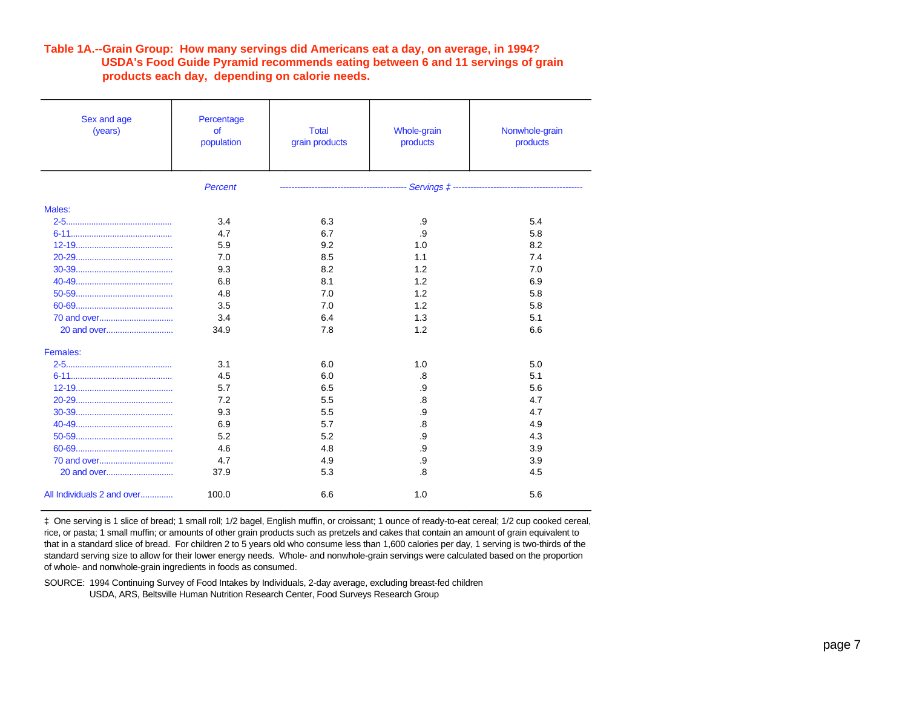#### **Table 1A.--Grain Group: How many servings did Americans eat a day, on average, in 1994? USDA's Food Guide Pyramid recommends eating between 6 and 11 servings of grain products each day, depending on calorie needs.**

| Sex and age<br>(years)     | Percentage<br><b>of</b><br>population | <b>Total</b><br>grain products | Whole-grain<br>products | Nonwhole-grain<br>products |
|----------------------------|---------------------------------------|--------------------------------|-------------------------|----------------------------|
|                            | <b>Percent</b>                        |                                |                         |                            |
| Males:                     |                                       |                                |                         |                            |
|                            | 3.4                                   | 6.3                            | .9                      | 5.4                        |
|                            | 4.7                                   | 6.7                            | .9                      | 5.8                        |
|                            | 5.9                                   | 9.2                            | 1.0                     | 8.2                        |
|                            | 7.0                                   | 8.5                            | 1.1                     | 7.4                        |
|                            | 9.3                                   | 8.2                            | 1.2                     | 7.0                        |
|                            | 6.8                                   | 8.1                            | 1.2                     | 6.9                        |
|                            | 4.8                                   | 7.0                            | 1.2                     | 5.8                        |
|                            | 3.5                                   | 7.0                            | 1.2                     | 5.8                        |
|                            | 3.4                                   | 6.4                            | 1.3                     | 5.1                        |
| 20 and over                | 34.9                                  | 7.8                            | 1.2                     | 6.6                        |
| Females:                   |                                       |                                |                         |                            |
|                            | 3.1                                   | 6.0                            | 1.0                     | 5.0                        |
|                            | 4.5                                   | 6.0                            | .8                      | 5.1                        |
|                            | 5.7                                   | 6.5                            | .9                      | 5.6                        |
|                            | 7.2                                   | 5.5                            | .8                      | 4.7                        |
|                            | 9.3                                   | 5.5                            | .9                      | 4.7                        |
|                            | 6.9                                   | 5.7                            | .8                      | 4.9                        |
|                            | 5.2                                   | 5.2                            | .9                      | 4.3                        |
|                            | 4.6                                   | 4.8                            | .9                      | 3.9                        |
|                            | 4.7                                   | 4.9                            | .9                      | 3.9                        |
|                            | 37.9                                  | 5.3                            | .8                      | 4.5                        |
| All Individuals 2 and over | 100.0                                 | 6.6                            | 1.0                     | 5.6                        |

‡ One serving is 1 slice of bread; 1 small roll; 1/2 bagel, English muffin, or croissant; 1 ounce of ready-to-eat cereal; 1/2 cup cooked cereal, rice, or pasta; 1 small muffin; or amounts of other grain products such as pretzels and cakes that contain an amount of grain equivalent to that in a standard slice of bread. For children 2 to 5 years old who consume less than 1,600 calories per day, 1 serving is two-thirds of the standard serving size to allow for their lower energy needs. Whole- and nonwhole-grain servings were calculated based on the proportion of whole- and nonwhole-grain ingredients in foods as consumed.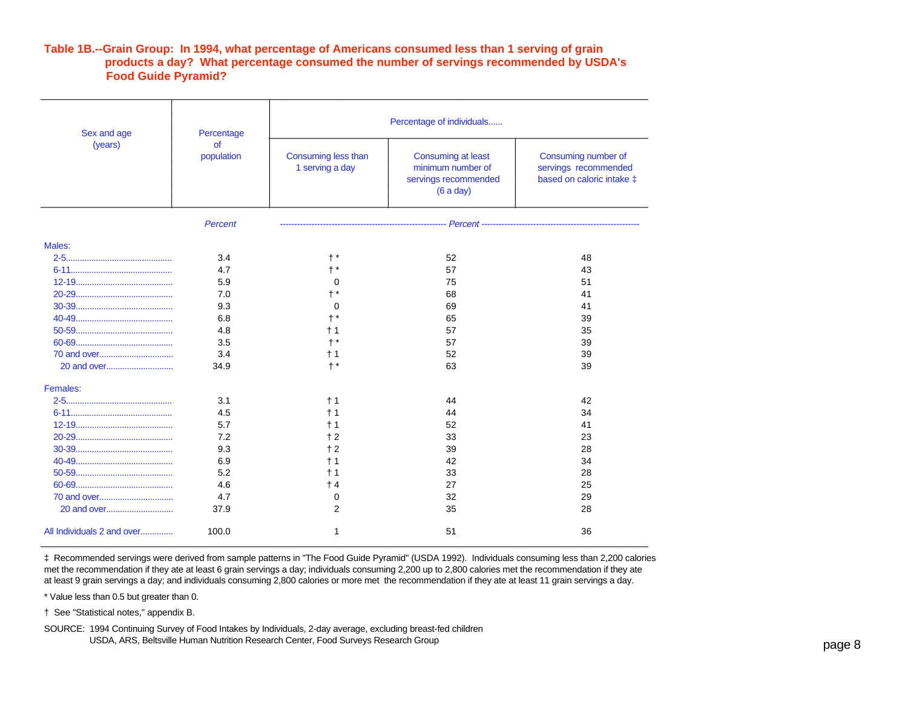#### **Table 1B.--Grain Group: In 1994, what percentage of Americans consumed less than 1 serving of grain products a day? What percentage consumed the number of servings recommended by USDA's Food Guide Pyramid?**

| Sex and age                | Percentage              | Percentage of individuals              |                                                                                    |                                                                          |  |  |  |
|----------------------------|-------------------------|----------------------------------------|------------------------------------------------------------------------------------|--------------------------------------------------------------------------|--|--|--|
| (years)                    | <b>of</b><br>population | Consuming less than<br>1 serving a day | <b>Consuming at least</b><br>minimum number of<br>servings recommended<br>(6a day) | Consuming number of<br>servings recommended<br>based on caloric intake ‡ |  |  |  |
|                            | <b>Percent</b>          |                                        |                                                                                    |                                                                          |  |  |  |
| Males:                     |                         |                                        |                                                                                    |                                                                          |  |  |  |
|                            | 3.4                     | $\dagger$ *                            | 52                                                                                 | 48                                                                       |  |  |  |
|                            | 4.7                     |                                        | 57                                                                                 | 43                                                                       |  |  |  |
|                            | 5.9                     | 0                                      | 75                                                                                 | 51                                                                       |  |  |  |
|                            | 7.0                     |                                        | 68                                                                                 | 41                                                                       |  |  |  |
|                            | 9.3                     | $\mathbf 0$                            | 69                                                                                 | 41                                                                       |  |  |  |
|                            | 6.8                     |                                        | 65                                                                                 | 39                                                                       |  |  |  |
|                            | 4.8                     | $+1$                                   | 57                                                                                 | 35                                                                       |  |  |  |
|                            | 3.5                     |                                        | 57                                                                                 | 39                                                                       |  |  |  |
|                            | 3.4                     | $+1$                                   | 52                                                                                 | 39                                                                       |  |  |  |
|                            | 34.9                    | $+$ *                                  | 63                                                                                 | 39                                                                       |  |  |  |
| Females:                   |                         |                                        |                                                                                    |                                                                          |  |  |  |
|                            | 3.1                     | $+1$                                   | 44                                                                                 | 42                                                                       |  |  |  |
|                            | 4.5                     | $+1$                                   | 44                                                                                 | 34                                                                       |  |  |  |
|                            | 5.7                     | † 1                                    | 52                                                                                 | 41                                                                       |  |  |  |
|                            | 7.2                     | $+2$                                   | 33                                                                                 | 23                                                                       |  |  |  |
|                            | 9.3                     | $+2$                                   | 39                                                                                 | 28                                                                       |  |  |  |
|                            | 6.9                     | $+1$                                   | 42                                                                                 | 34                                                                       |  |  |  |
|                            | 5.2                     | $+1$                                   | 33                                                                                 | 28                                                                       |  |  |  |
|                            | 4.6                     | $+4$                                   | 27                                                                                 | 25                                                                       |  |  |  |
|                            | 4.7                     | 0                                      | 32                                                                                 | 29                                                                       |  |  |  |
|                            | 37.9                    | $\overline{2}$                         | 35                                                                                 | 28                                                                       |  |  |  |
| All Individuals 2 and over | 100.0                   | 1                                      | 51                                                                                 | 36                                                                       |  |  |  |

‡ Recommended servings were derived from sample patterns in "The Food Guide Pyramid" (USDA 1992). Individuals consuming less than 2,200 calories met the recommendation if they ate at least 6 grain servings a day; individuals consuming 2,200 up to 2,800 calories met the recommendation if they ate at least 9 grain servings a day; and individuals consuming 2,800 calories or more met the recommendation if they ate at least 11 grain servings a day.

\* Value less than 0.5 but greater than 0.

† See "Statistical notes," appendix B.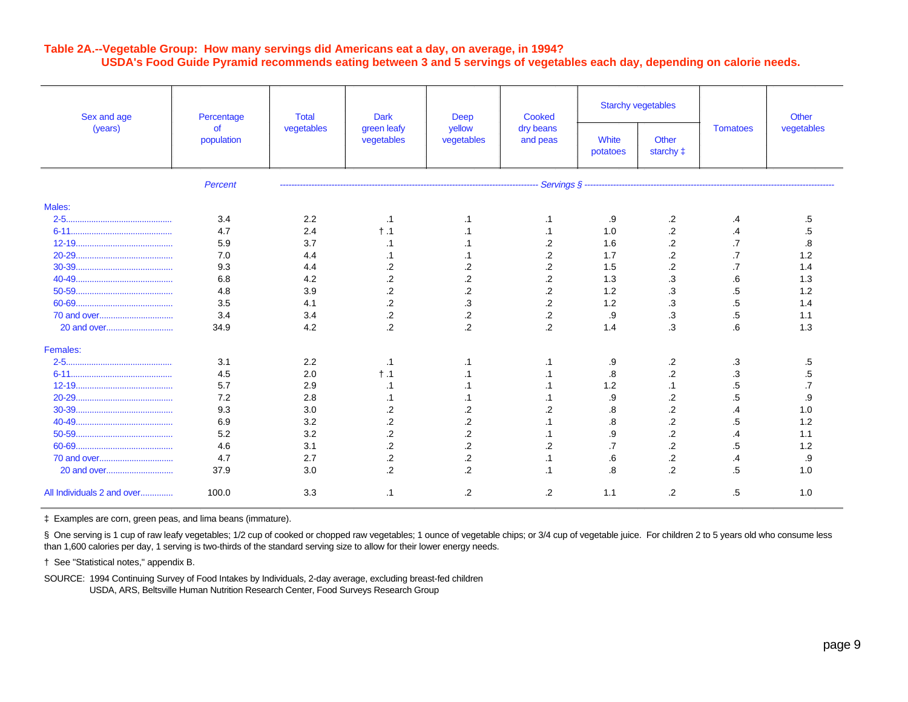### **Table 2A.--Vegetable Group: How many servings did Americans eat a day, on average, in 1994? USDA's Food Guide Pyramid recommends eating between 3 and 5 servings of vegetables each day, depending on calorie needs.**

| Sex and age<br>(years)     | Percentage       | <b>Total</b>                            | <b>Dark</b>          | <b>Deep</b>              | Cooked            | <b>Starchy vegetables</b> |                 |            | Other |
|----------------------------|------------------|-----------------------------------------|----------------------|--------------------------|-------------------|---------------------------|-----------------|------------|-------|
|                            | of<br>population | vegetables<br>green leafy<br>vegetables | yellow<br>vegetables | dry beans<br>and peas    | White<br>potatoes | Other<br>starchy ‡        | <b>Tomatoes</b> | vegetables |       |
|                            | Percent          |                                         |                      | ------------------------ |                   |                           |                 |            |       |
| Males:                     |                  |                                         |                      |                          |                   |                           |                 |            |       |
|                            | 3.4              | 2.2                                     | $\cdot$ 1            | .1                       | .1                | .9                        | .2              | .4         | .5    |
|                            | 4.7              | 2.4                                     | $\dagger$ .1         | .1                       | .1                | 1.0                       | $\cdot$         | .4         | .5    |
|                            | 5.9              | 3.7                                     |                      |                          | .2                | 1.6                       | $\cdot$         | .7         | 8.    |
|                            | 7.0              | 4.4                                     |                      |                          | .2                | 1.7                       | .2              | .7         | 1.2   |
|                            | 9.3              | 4.4                                     | $\cdot$              | .2                       | $\overline{2}$    | 1.5                       | $\overline{2}$  |            | 1.4   |
|                            | 6.8              | 4.2                                     | $\overline{2}$       | $\overline{c}$           | $\overline{2}$    | 1.3                       | .3              | .6         | 1.3   |
|                            | 4.8              | 3.9                                     | $\overline{c}$       | $\overline{2}$           | $\overline{2}$    | 1.2                       | .3              | .5         | 1.2   |
|                            | 3.5              | 4.1                                     | $\cdot$ .2           | $\cdot$                  | $\overline{2}$    | 1.2                       | .3              | .5         | 1.4   |
|                            | 3.4              | 3.4                                     | $\cdot$              | .2                       | .2                | .9                        | .3              | .5         | 1.1   |
|                            | 34.9             | 4.2                                     | $\overline{2}$       | $\overline{2}$           | $\overline{2}$    | 1.4                       | .3              | .6         | 1.3   |
| Females:                   |                  |                                         |                      |                          |                   |                           |                 |            |       |
|                            | 3.1              | 2.2                                     | $\cdot$ 1            | .1                       | .1                | .9                        | .2              | .3         | .5    |
|                            | 4.5              | 2.0                                     | $\dagger$ .1         | $\cdot$ 1                |                   | .8                        | $\cdot$         | .3         | .5    |
|                            | 5.7              | 2.9                                     | .1                   | .1                       |                   | 1.2                       | $\cdot$ 1       | .5         |       |
|                            | 7.2              | 2.8                                     |                      |                          |                   | .9                        | .2              | .5         | .9    |
|                            | 9.3              | 3.0                                     | .2                   | .2                       | .2                | .8                        | $\overline{c}$  | .4         | 1.0   |
|                            | 6.9              | 3.2                                     | $\cdot$              | .2                       |                   | .8                        | $\cdot$         | .5         | 1.2   |
|                            | 5.2              | 3.2                                     | $\overline{2}$       | $\overline{.2}$          | .1                | .9                        | $\overline{2}$  | .4         | 1.1   |
|                            | 4.6              | 3.1                                     | $\cdot$              | $\overline{2}$           | $\overline{2}$    | $\cdot$ 7                 | $\overline{2}$  | .5         | 1.2   |
|                            | 4.7              | 2.7                                     | $\overline{2}$       | $\overline{2}$           | .1                | .6                        | $\overline{c}$  | .4         | .9    |
| 20 and over                | 37.9             | 3.0                                     | $\overline{2}$       | $\overline{2}$           | .1                | .8                        | $\overline{2}$  | .5         | 1.0   |
| All Individuals 2 and over | 100.0            | 3.3                                     | $\cdot$ 1            | .2                       | .2                | 1.1                       | $\cdot$         | .5         | 1.0   |

‡ Examples are corn, green peas, and lima beans (immature).

§ One serving is 1 cup of raw leafy vegetables; 1/2 cup of cooked or chopped raw vegetables; 1 ounce of vegetable chips; or 3/4 cup of vegetable juice. For children 2 to 5 years old who consume less than 1,600 calories per day, 1 serving is two-thirds of the standard serving size to allow for their lower energy needs.

† See "Statistical notes," appendix B.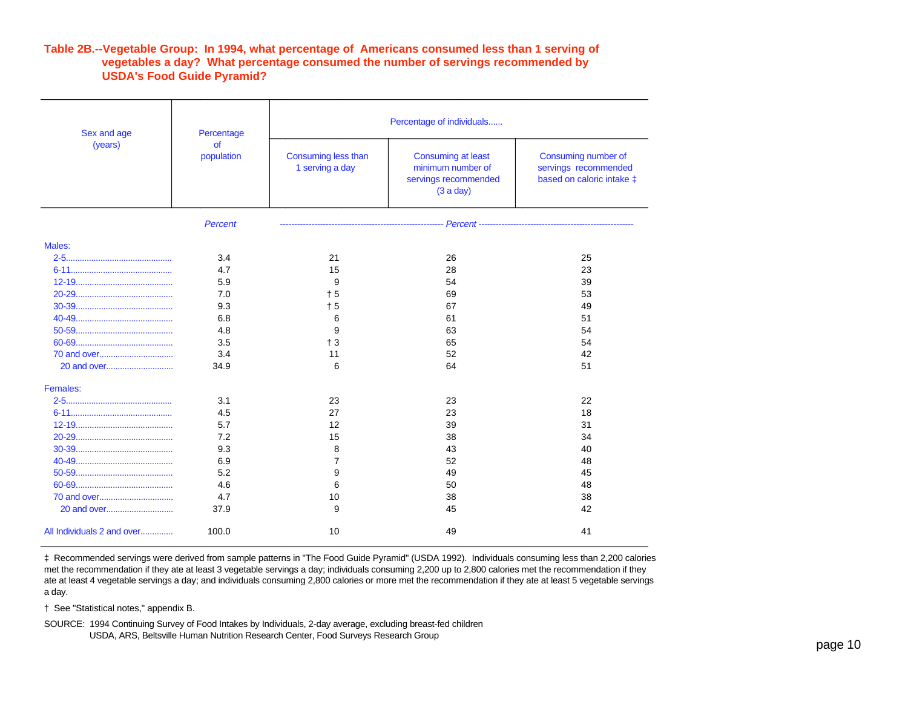#### **Table 2B.--Vegetable Group: In 1994, what percentage of Americans consumed less than 1 serving of vegetables a day? What percentage consumed the number of servings recommended by USDA's Food Guide Pyramid?**

| Sex and age<br>(years)     | Percentage<br><b>of</b><br>population | Percentage of individuals              |                                                                                     |                                                                          |  |  |  |
|----------------------------|---------------------------------------|----------------------------------------|-------------------------------------------------------------------------------------|--------------------------------------------------------------------------|--|--|--|
|                            |                                       | Consuming less than<br>1 serving a day | <b>Consuming at least</b><br>minimum number of<br>servings recommended<br>(3 a day) | Consuming number of<br>servings recommended<br>based on caloric intake ‡ |  |  |  |
|                            | Percent                               |                                        |                                                                                     |                                                                          |  |  |  |
| Males:                     |                                       |                                        |                                                                                     |                                                                          |  |  |  |
|                            | 3.4                                   | 21                                     | 26                                                                                  | 25                                                                       |  |  |  |
|                            | 4.7                                   | 15                                     | 28                                                                                  | 23                                                                       |  |  |  |
|                            | 5.9                                   | 9                                      | 54                                                                                  | 39                                                                       |  |  |  |
|                            | 7.0                                   | $+5$                                   | 69                                                                                  | 53                                                                       |  |  |  |
|                            | 9.3                                   | $+5$                                   | 67                                                                                  | 49                                                                       |  |  |  |
|                            | 6.8                                   | 6                                      | 61                                                                                  | 51                                                                       |  |  |  |
|                            | 4.8                                   | 9                                      | 63                                                                                  | 54                                                                       |  |  |  |
|                            | 3.5                                   | $+3$                                   | 65                                                                                  | 54                                                                       |  |  |  |
|                            | 3.4                                   | 11                                     | 52                                                                                  | 42                                                                       |  |  |  |
| 20 and over                | 34.9                                  | 6                                      | 64                                                                                  | 51                                                                       |  |  |  |
| Females:                   |                                       |                                        |                                                                                     |                                                                          |  |  |  |
|                            | 3.1                                   | 23                                     | 23                                                                                  | 22                                                                       |  |  |  |
|                            | 4.5                                   | 27                                     | 23                                                                                  | 18                                                                       |  |  |  |
|                            | 5.7                                   | 12                                     | 39                                                                                  | 31                                                                       |  |  |  |
|                            | 7.2                                   | 15                                     | 38                                                                                  | 34                                                                       |  |  |  |
|                            | 9.3                                   | 8                                      | 43                                                                                  | 40                                                                       |  |  |  |
|                            | 6.9                                   | $\overline{7}$                         | 52                                                                                  | 48                                                                       |  |  |  |
|                            | 5.2                                   | 9                                      | 49                                                                                  | 45                                                                       |  |  |  |
|                            | 4.6                                   | 6                                      | 50                                                                                  | 48                                                                       |  |  |  |
| 70 and over                | 4.7                                   | 10                                     | 38                                                                                  | 38                                                                       |  |  |  |
|                            | 37.9                                  | 9                                      | 45                                                                                  | 42                                                                       |  |  |  |
| All Individuals 2 and over | 100.0                                 | 10                                     | 49                                                                                  | 41                                                                       |  |  |  |

‡ Recommended servings were derived from sample patterns in "The Food Guide Pyramid" (USDA 1992). Individuals consuming less than 2,200 calories met the recommendation if they ate at least 3 vegetable servings a day; individuals consuming 2,200 up to 2,800 calories met the recommendation if they ate at least 4 vegetable servings a day; and individuals consuming 2,800 calories or more met the recommendation if they ate at least 5 vegetable servings a day.

† See "Statistical notes," appendix B.

SOURCE: 1994 Continuing Survey of Food Intakes by Individuals, 2-day average, excluding breast-fed children USDA, ARS, Beltsville Human Nutrition Research Center, Food Surveys Research Group by a control of the state of the control of the control of the control of the control of the control of the control of the control of the c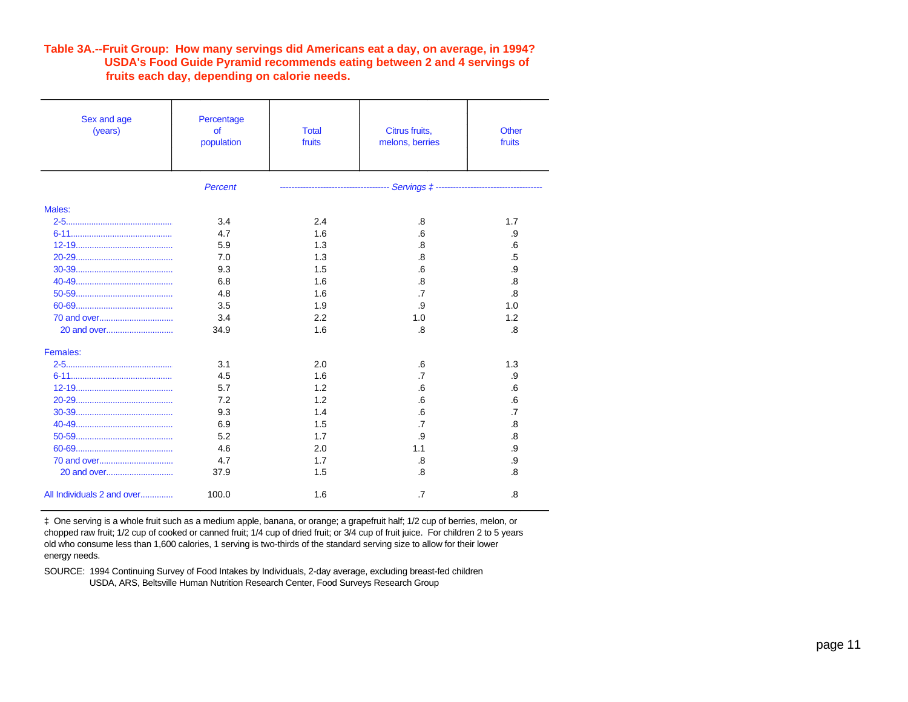### **Table 3A.--Fruit Group: How many servings did Americans eat a day, on average, in 1994? USDA's Food Guide Pyramid recommends eating between 2 and 4 servings of fruits each day, depending on calorie needs.**

| Sex and age<br>(years)     | Percentage<br><b>of</b><br>population | <b>Total</b><br>fruits | Citrus fruits,<br>melons, berries | <b>Other</b><br>fruits |
|----------------------------|---------------------------------------|------------------------|-----------------------------------|------------------------|
|                            | <b>Percent</b>                        |                        |                                   |                        |
| Males:                     |                                       |                        |                                   |                        |
|                            | 3.4                                   | 2.4                    | .8                                | 1.7                    |
|                            | 4.7                                   | 1.6                    | .6                                | .9                     |
|                            | 5.9                                   | 1.3                    | .8                                | .6                     |
|                            | 7.0                                   | 1.3                    | .8                                | .5                     |
|                            | 9.3                                   | 1.5                    | .6                                | .9                     |
|                            | 6.8                                   | 1.6                    | .8                                | .8                     |
|                            | 4.8                                   | 1.6                    | $\cdot$ 7                         | .8                     |
|                            | 3.5                                   | 1.9                    | .9                                | 1.0                    |
|                            | 3.4                                   | 2.2                    | 1.0                               | 1.2                    |
|                            | 34.9                                  | 1.6                    | .8                                | .8                     |
| Females:                   |                                       |                        |                                   |                        |
|                            | 3.1                                   | 2.0                    | .6                                | 1.3                    |
|                            | 4.5                                   | 1.6                    | .7                                | .9                     |
|                            | 5.7                                   | 1.2                    | .6                                | .6                     |
|                            | 7.2                                   | 1.2                    | .6                                | .6                     |
|                            | 9.3                                   | 1.4                    | .6                                | $\overline{.7}$        |
|                            | 6.9                                   | 1.5                    | $\overline{.7}$                   | .8                     |
|                            | 5.2                                   | 1.7                    | .9                                | .8                     |
|                            | 4.6                                   | 2.0                    | 1.1                               | .9                     |
|                            | 4.7                                   | 1.7                    | .8                                | .9                     |
|                            | 37.9                                  | 1.5                    | .8                                | .8                     |
| All Individuals 2 and over | 100.0                                 | 1.6                    | .7                                | .8                     |

‡ One serving is a whole fruit such as a medium apple, banana, or orange; a grapefruit half; 1/2 cup of berries, melon, or chopped raw fruit; 1/2 cup of cooked or canned fruit; 1/4 cup of dried fruit; or 3/4 cup of fruit juice. For children 2 to 5 years old who consume less than 1,600 calories, 1 serving is two-thirds of the standard serving size to allow for their lower energy needs.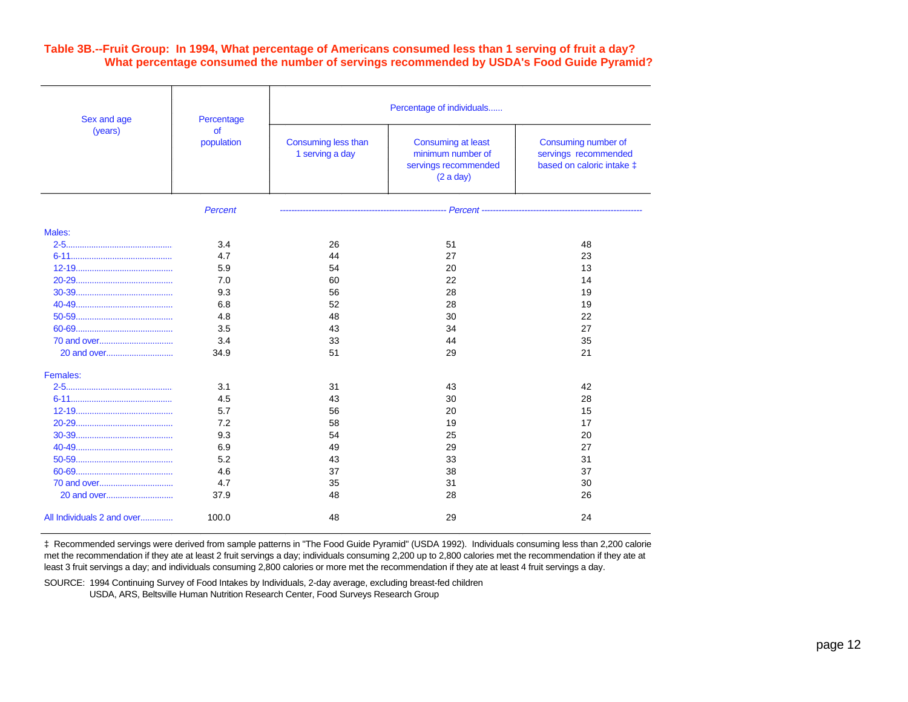#### **Table 3B.--Fruit Group: In 1994, What percentage of Americans consumed less than 1 serving of fruit a day? What percentage consumed the number of servings recommended by USDA's Food Guide Pyramid?**

| Sex and age<br>(years)     | Percentage       | Percentage of individuals              |                                                                                     |                                                                          |  |  |  |
|----------------------------|------------------|----------------------------------------|-------------------------------------------------------------------------------------|--------------------------------------------------------------------------|--|--|--|
|                            | of<br>population | Consuming less than<br>1 serving a day | <b>Consuming at least</b><br>minimum number of<br>servings recommended<br>(2 a day) | Consuming number of<br>servings recommended<br>based on caloric intake ‡ |  |  |  |
|                            | Percent          |                                        |                                                                                     |                                                                          |  |  |  |
| Males:                     |                  |                                        |                                                                                     |                                                                          |  |  |  |
|                            | 3.4              | 26                                     | 51                                                                                  | 48                                                                       |  |  |  |
|                            | 4.7              | 44                                     | 27                                                                                  | 23                                                                       |  |  |  |
|                            | 5.9              | 54                                     | 20                                                                                  | 13                                                                       |  |  |  |
|                            | 7.0              | 60                                     | 22                                                                                  | 14                                                                       |  |  |  |
|                            | 9.3              | 56                                     | 28                                                                                  | 19                                                                       |  |  |  |
|                            | 6.8              | 52                                     | 28                                                                                  | 19                                                                       |  |  |  |
|                            | 4.8              | 48                                     | 30                                                                                  | 22                                                                       |  |  |  |
|                            | 3.5              | 43                                     | 34                                                                                  | 27                                                                       |  |  |  |
|                            | 3.4              | 33                                     | 44                                                                                  | 35                                                                       |  |  |  |
|                            | 34.9             | 51                                     | 29                                                                                  | 21                                                                       |  |  |  |
| Females:                   |                  |                                        |                                                                                     |                                                                          |  |  |  |
|                            | 3.1              | 31                                     | 43                                                                                  | 42                                                                       |  |  |  |
|                            | 4.5              | 43                                     | 30                                                                                  | 28                                                                       |  |  |  |
|                            | 5.7              | 56                                     | 20                                                                                  | 15                                                                       |  |  |  |
|                            | 7.2              | 58                                     | 19                                                                                  | 17                                                                       |  |  |  |
|                            | 9.3              | 54                                     | 25                                                                                  | 20                                                                       |  |  |  |
|                            | 6.9              | 49                                     | 29                                                                                  | 27                                                                       |  |  |  |
|                            | 5.2              | 43                                     | 33                                                                                  | 31                                                                       |  |  |  |
|                            | 4.6              | 37                                     | 38                                                                                  | 37                                                                       |  |  |  |
| 70 and over                | 4.7              | 35                                     | 31                                                                                  | 30                                                                       |  |  |  |
|                            | 37.9             | 48                                     | 28                                                                                  | 26                                                                       |  |  |  |
| All Individuals 2 and over | 100.0            | 48                                     | 29                                                                                  | 24                                                                       |  |  |  |

‡ Recommended servings were derived from sample patterns in "The Food Guide Pyramid" (USDA 1992). Individuals consuming less than 2,200 calories met the recommendation if they ate at least 2 fruit servings a day; individuals consuming 2,200 up to 2,800 calories met the recommendation if they ate at least 3 fruit servings a day; and individuals consuming 2,800 calories or more met the recommendation if they ate at least 4 fruit servings a day.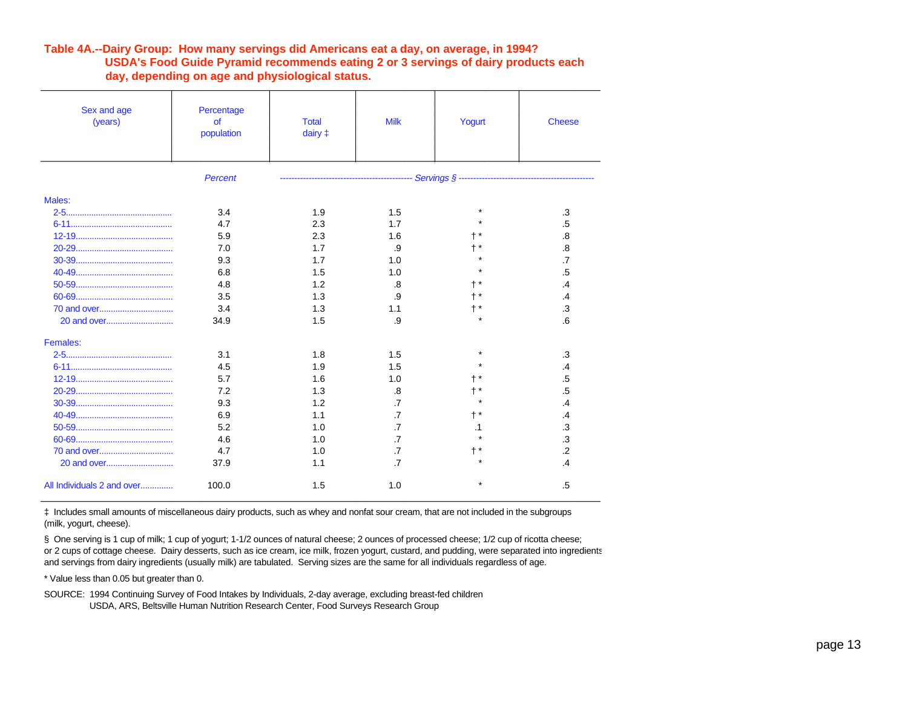#### **Table 4A.--Dairy Group: How many servings did Americans eat a day, on average, in 1994? USDA's Food Guide Pyramid recommends eating 2 or 3 servings of dairy products each day, depending on age and physiological status.**

| Sex and age<br>(years)     | Percentage<br>of<br>population | <b>Total</b><br>dairy $\ddagger$ | <b>Milk</b>     | Yogurt | <b>Cheese</b>     |
|----------------------------|--------------------------------|----------------------------------|-----------------|--------|-------------------|
|                            | Percent                        |                                  |                 |        |                   |
| Males:                     |                                |                                  |                 |        |                   |
|                            | 3.4                            | 1.9                              | 1.5             |        | .3                |
|                            | 4.7                            | 2.3                              | 1.7             |        | .5                |
|                            | 5.9                            | 2.3                              | 1.6             |        | $\boldsymbol{.8}$ |
|                            | 7.0                            | 1.7                              | .9              |        | $\overline{8}$    |
|                            | 9.3                            | 1.7                              | 1.0             |        | .7                |
|                            | 6.8                            | 1.5                              | 1.0             |        | .5                |
|                            | 4.8                            | 1.2                              | .8              |        | $\overline{.4}$   |
|                            | 3.5                            | 1.3                              | .9              |        | $\overline{.4}$   |
|                            | 3.4                            | 1.3                              | 1.1             |        | $\cdot$ 3         |
|                            | 34.9                           | 1.5                              | .9              |        | 6                 |
| Females:                   |                                |                                  |                 |        |                   |
|                            | 3.1                            | 1.8                              | 1.5             |        | .3                |
|                            | 4.5                            | 1.9                              | 1.5             |        | .4                |
|                            | 5.7                            | 1.6                              | 1.0             |        | .5                |
|                            | 7.2                            | 1.3                              | .8              |        | .5                |
|                            | 9.3                            | 1.2                              | $\cdot$ 7       |        | .4                |
|                            | 6.9                            | 1.1                              | $\overline{.7}$ |        | .4                |
|                            | 5.2                            | 1.0                              | $\overline{.7}$ | .1     | .3                |
|                            | 4.6                            | 1.0                              | $\cdot$         |        | .3                |
|                            | 4.7                            | 1.0                              | $\cdot$         |        | $\overline{2}$    |
|                            | 37.9                           | 1.1                              | $\cdot$ 7       |        | $\mathcal{A}$     |
| All Individuals 2 and over | 100.0                          | 1.5                              | 1.0             |        | .5                |

‡ Includes small amounts of miscellaneous dairy products, such as whey and nonfat sour cream, that are not included in the subgroups (milk, yogurt, cheese).

§ One serving is 1 cup of milk; 1 cup of yogurt; 1-1/2 ounces of natural cheese; 2 ounces of processed cheese; 1/2 cup of ricotta cheese; or 2 cups of cottage cheese. Dairy desserts, such as ice cream, ice milk, frozen yogurt, custard, and pudding, were separated into ingredients and servings from dairy ingredients (usually milk) are tabulated. Serving sizes are the same for all individuals regardless of age.

\* Value less than 0.05 but greater than 0.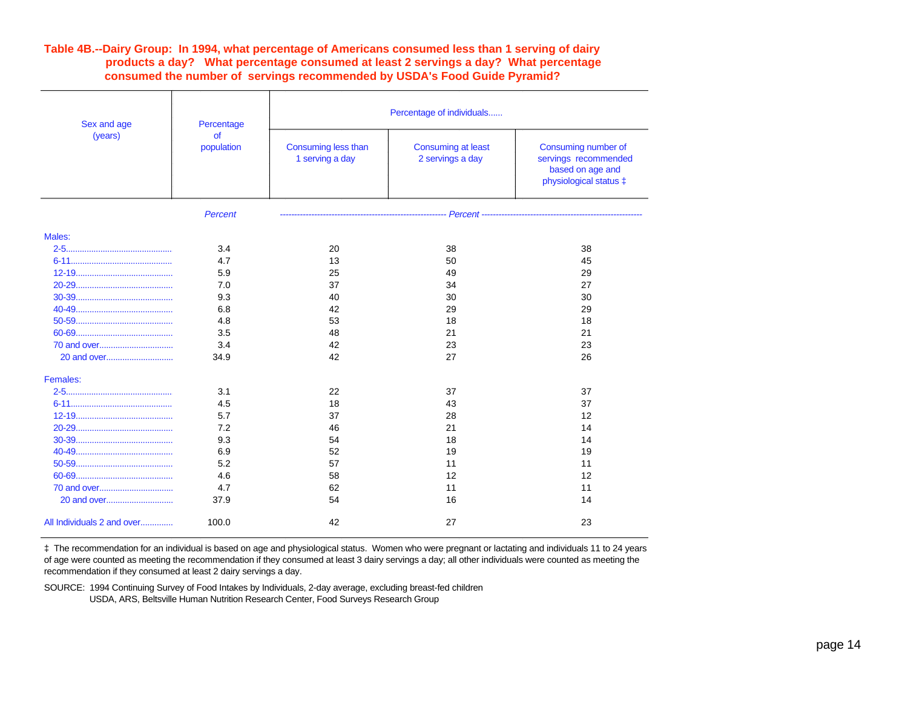#### **Table 4B.--Dairy Group: In 1994, what percentage of Americans consumed less than 1 serving of dairy products a day? What percentage consumed at least 2 servings a day? What percentage consumed the number of servings recommended by USDA's Food Guide Pyramid?**

| Sex and age                | Percentage              | Percentage of individuals              |                                               |                                                                                           |  |  |  |
|----------------------------|-------------------------|----------------------------------------|-----------------------------------------------|-------------------------------------------------------------------------------------------|--|--|--|
| (years)                    | <b>of</b><br>population | Consuming less than<br>1 serving a day | <b>Consuming at least</b><br>2 servings a day | Consuming number of<br>servings recommended<br>based on age and<br>physiological status ‡ |  |  |  |
|                            | <b>Percent</b>          |                                        | -------------------------                     |                                                                                           |  |  |  |
| Males:                     |                         |                                        |                                               |                                                                                           |  |  |  |
|                            | 3.4                     | 20                                     | 38                                            | 38                                                                                        |  |  |  |
|                            | 4.7                     | 13                                     | 50                                            | 45                                                                                        |  |  |  |
|                            | 5.9                     | 25                                     | 49                                            | 29                                                                                        |  |  |  |
|                            | 7.0                     | 37                                     | 34                                            | 27                                                                                        |  |  |  |
|                            | 9.3                     | 40                                     | 30                                            | 30                                                                                        |  |  |  |
|                            | 6.8                     | 42                                     | 29                                            | 29                                                                                        |  |  |  |
|                            | 4.8                     | 53                                     | 18                                            | 18                                                                                        |  |  |  |
|                            | 3.5                     | 48                                     | 21                                            | 21                                                                                        |  |  |  |
|                            | 3.4                     | 42                                     | 23                                            | 23                                                                                        |  |  |  |
|                            | 34.9                    | 42                                     | 27                                            | 26                                                                                        |  |  |  |
| Females:                   |                         |                                        |                                               |                                                                                           |  |  |  |
|                            | 3.1                     | 22                                     | 37                                            | 37                                                                                        |  |  |  |
|                            | 4.5                     | 18                                     | 43                                            | 37                                                                                        |  |  |  |
|                            | 5.7                     | 37                                     | 28                                            | 12                                                                                        |  |  |  |
|                            | 7.2                     | 46                                     | 21                                            | 14                                                                                        |  |  |  |
|                            | 9.3                     | 54                                     | 18                                            | 14                                                                                        |  |  |  |
|                            | 6.9                     | 52                                     | 19                                            | 19                                                                                        |  |  |  |
|                            | 5.2                     | 57                                     | 11                                            | 11                                                                                        |  |  |  |
|                            | 4.6                     | 58                                     | 12                                            | 12                                                                                        |  |  |  |
| 70 and over                | 4.7                     | 62                                     | 11                                            | 11                                                                                        |  |  |  |
|                            | 37.9                    | 54                                     | 16                                            | 14                                                                                        |  |  |  |
| All Individuals 2 and over | 100.0                   | 42                                     | 27                                            | 23                                                                                        |  |  |  |

‡ The recommendation for an individual is based on age and physiological status. Women who were pregnant or lactating and individuals 11 to 24 years of age were counted as meeting the recommendation if they consumed at least 3 dairy servings a day; all other individuals were counted as meeting the recommendation if they consumed at least 2 dairy servings a day.

SOURCE: 1994 Continuing Survey of Food Intakes by Individuals, 2-day average, excluding breast-fed children

USDA, ARS, Beltsville Human Nutrition Research Center, Food Surveys Research Group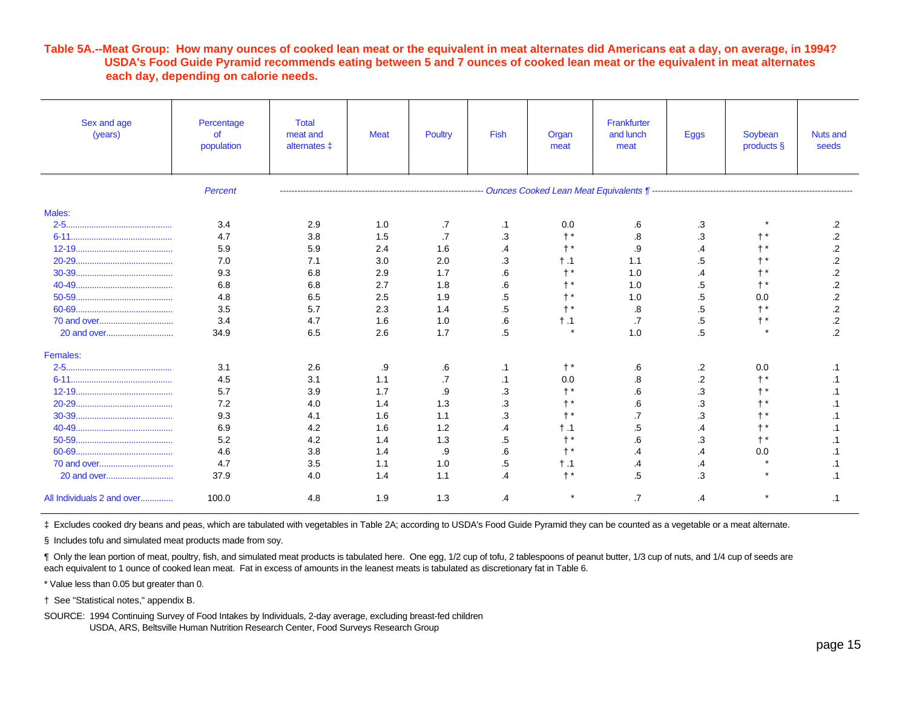#### **Table 5A.--Meat Group: How many ounces of cooked lean meat or the equivalent in meat alternates did Americans eat a day, on average, in 1994? USDA's Food Guide Pyramid recommends eating between 5 and 7 ounces of cooked lean meat or the equivalent in meat alternates each day, depending on calorie needs.**

| Sex and age<br>(years)     | Percentage<br>$\sigma$<br>population | <b>Total</b><br>meat and<br>alternates ± | <b>Meat</b> | Poultry         | Fish            | Organ<br>meat | Frankfurter<br>and lunch<br>meat | <b>Eggs</b> | Soybean<br>products § | <b>Nuts and</b><br>seeds |
|----------------------------|--------------------------------------|------------------------------------------|-------------|-----------------|-----------------|---------------|----------------------------------|-------------|-----------------------|--------------------------|
|                            | Percent                              |                                          |             |                 |                 |               |                                  |             |                       |                          |
| Males:                     |                                      |                                          |             |                 |                 |               |                                  |             |                       |                          |
|                            | 3.4                                  | 2.9                                      | 1.0         | .7              | $\cdot$ 1       | 0.0           | .6                               | .3          |                       | $\cdot$                  |
|                            | 4.7                                  | 3.8                                      | 1.5         | .7              | .3              |               | .8                               | .3          |                       | $\mathbf{.2}$            |
|                            | 5.9                                  | 5.9                                      | 2.4         | 1.6             | .4              | $+$ $*$       | .9                               | $\cdot$     |                       | $\overline{2}$           |
|                            | 7.0                                  | 7.1                                      | 3.0         | 2.0             | .3              | $\dagger$ .1  | 1.1                              | .5          |                       | $\overline{2}$           |
|                            | 9.3                                  | 6.8                                      | 2.9         | 1.7             | .6              |               | 1.0                              | .4          |                       | $\overline{2}$           |
|                            | 6.8                                  | 6.8                                      | 2.7         | 1.8             | .6              |               | 1.0                              | .5          |                       | .2                       |
|                            | 4.8                                  | 6.5                                      | 2.5         | 1.9             | .5              |               | 1.0                              | $.5\,$      | 0.0                   | $\mathbf{.2}$            |
|                            | 3.5                                  | 5.7                                      | 2.3         | 1.4             | $.5\,$          |               | .8                               | .5          |                       | $\cdot$                  |
|                            | 3.4                                  | 4.7                                      | 1.6         | 1.0             | .6              | $\dagger$ .1  | .7                               | .5          | $+$ *                 | $\cdot$                  |
|                            | 34.9                                 | 6.5                                      | 2.6         | 1.7             | .5              | $\star$       | 1.0                              | $.5\,$      |                       | $\overline{2}$           |
| Females:                   |                                      |                                          |             |                 |                 |               |                                  |             |                       |                          |
|                            | 3.1                                  | 2.6                                      | .9          | .6              | $\cdot$ 1       | $+$ $*$       | .6                               | .2          | 0.0                   | $\cdot$ 1                |
|                            | 4.5                                  | 3.1                                      | 1.1         | $\overline{.7}$ | $\cdot$ 1       | 0.0           | .8                               | $\cdot$     | t *                   |                          |
|                            | 5.7                                  | 3.9                                      | 1.7         | .9              | .3              |               | .6                               | .3          |                       |                          |
|                            | 7.2                                  | 4.0                                      | 1.4         | 1.3             | .3              |               | .6                               | $\cdot$     |                       |                          |
|                            | 9.3                                  | 4.1                                      | 1.6         | 1.1             | .3              |               | .7                               | .3          |                       |                          |
|                            | 6.9                                  | 4.2                                      | 1.6         | 1.2             | .4              | t .1          | .5                               | .4          |                       |                          |
|                            | 5.2                                  | 4.2                                      | 1.4         | 1.3             | .5              | $^{\ast}$     | .6                               | .3          | $+$ *                 |                          |
|                            | 4.6                                  | 3.8                                      | 1.4         | .9              | .6              |               | .4                               | .4          | 0.0                   |                          |
|                            | 4.7                                  | 3.5                                      | 1.1         | 1.0             | $.5\,$          | $\dagger$ .1  | .4                               | .4          |                       |                          |
| 20 and over                | 37.9                                 | 4.0                                      | 1.4         | 1.1             | $\overline{.4}$ | $+$ *         | .5                               | .3          |                       |                          |
| All Individuals 2 and over | 100.0                                | 4.8                                      | 1.9         | 1.3             | .4              |               | .7                               | $\cdot$     |                       | .1                       |

‡ Excludes cooked dry beans and peas, which are tabulated with vegetables in Table 2A; according to USDA's Food Guide Pyramid they can be counted as a vegetable or a meat alternate.

§ Includes tofu and simulated meat products made from soy.

¶ Only the lean portion of meat, poultry, fish, and simulated meat products is tabulated here. One egg, 1/2 cup of tofu, 2 tablespoons of peanut butter, 1/3 cup of nuts, and 1/4 cup of seeds are each equivalent to 1 ounce of cooked lean meat. Fat in excess of amounts in the leanest meats is tabulated as discretionary fat in Table 6.

\* Value less than 0.05 but greater than 0.

† See "Statistical notes," appendix B.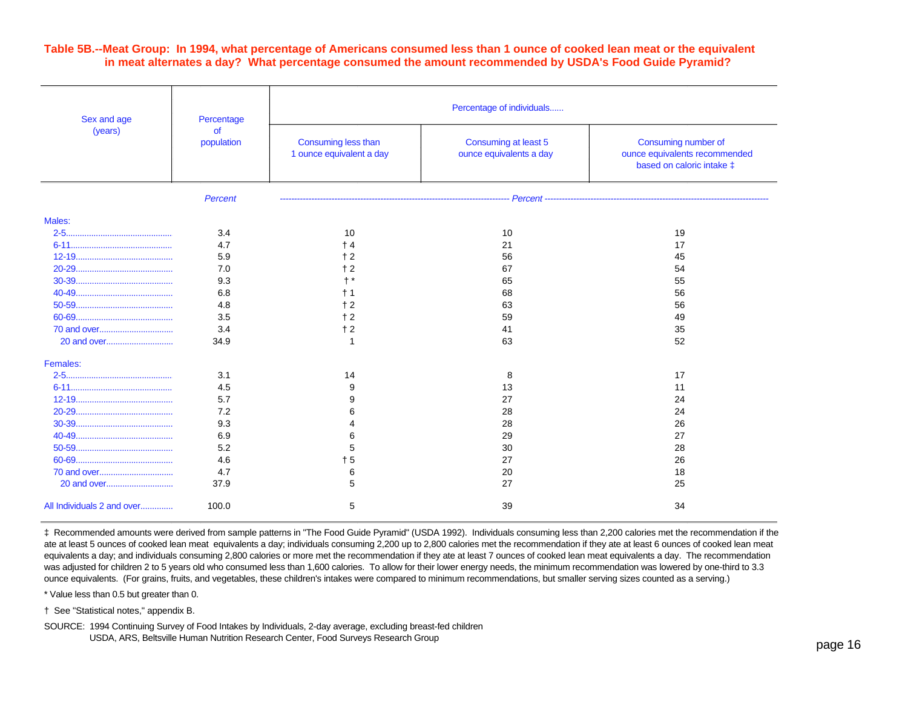#### **Table 5B.--Meat Group: In 1994, what percentage of Americans consumed less than 1 ounce of cooked lean meat or the equivalent in meat alternates a day? What percentage consumed the amount recommended by USDA's Food Guide Pyramid?**

| Sex and age                | Percentage              | Percentage of individuals                       |                                                 |                                                                                   |  |  |  |
|----------------------------|-------------------------|-------------------------------------------------|-------------------------------------------------|-----------------------------------------------------------------------------------|--|--|--|
| (years)                    | <b>of</b><br>population | Consuming less than<br>1 ounce equivalent a day | Consuming at least 5<br>ounce equivalents a day | Consuming number of<br>ounce equivalents recommended<br>based on caloric intake ‡ |  |  |  |
|                            | Percent                 |                                                 |                                                 |                                                                                   |  |  |  |
| Males:                     |                         |                                                 |                                                 |                                                                                   |  |  |  |
|                            | 3.4                     | 10                                              | 10                                              | 19                                                                                |  |  |  |
|                            | 4.7                     | $+4$                                            | 21                                              | 17                                                                                |  |  |  |
|                            | 5.9                     | $+2$                                            | 56                                              | 45                                                                                |  |  |  |
|                            | 7.0                     | $+2$                                            | 67                                              | 54                                                                                |  |  |  |
|                            | 9.3                     | $\dagger$ *                                     | 65                                              | 55                                                                                |  |  |  |
|                            | 6.8                     | $+1$                                            | 68                                              | 56                                                                                |  |  |  |
|                            | 4.8                     | $+2$                                            | 63                                              | 56                                                                                |  |  |  |
|                            | 3.5                     | $+2$                                            | 59                                              | 49                                                                                |  |  |  |
|                            | 3.4                     | $+2$                                            | 41                                              | 35                                                                                |  |  |  |
|                            | 34.9                    | -1                                              | 63                                              | 52                                                                                |  |  |  |
| Females:                   |                         |                                                 |                                                 |                                                                                   |  |  |  |
|                            | 3.1                     | 14                                              | 8                                               | 17                                                                                |  |  |  |
|                            | 4.5                     | 9                                               | 13                                              | 11                                                                                |  |  |  |
|                            | 5.7                     | 9                                               | 27                                              | 24                                                                                |  |  |  |
|                            | 7.2                     | 6                                               | 28                                              | 24                                                                                |  |  |  |
|                            | 9.3                     |                                                 | 28                                              | 26                                                                                |  |  |  |
|                            | 6.9                     | 6                                               | 29                                              | 27                                                                                |  |  |  |
|                            | 5.2                     | 5                                               | 30                                              | 28                                                                                |  |  |  |
|                            | 4.6                     | $+5$                                            | 27                                              | 26                                                                                |  |  |  |
|                            | 4.7                     | 6                                               | 20                                              | 18                                                                                |  |  |  |
|                            | 37.9                    | 5                                               | 27                                              | 25                                                                                |  |  |  |
| All Individuals 2 and over | 100.0                   | 5                                               | 39                                              | 34                                                                                |  |  |  |

‡ Recommended amounts were derived from sample patterns in "The Food Guide Pyramid" (USDA 1992). Individuals consuming less than 2,200 calories met the recommendation if they ate at least 5 ounces of cooked lean meat equivalents a day; individuals consuming 2,200 up to 2,800 calories met the recommendation if they ate at least 6 ounces of cooked lean meat equivalents a day; and individuals consuming 2,800 calories or more met the recommendation if they ate at least 7 ounces of cooked lean meat equivalents a day. The recommendation was adjusted for children 2 to 5 years old who consumed less than 1,600 calories. To allow for their lower energy needs, the minimum recommendation was lowered by one-third to 3.3 ounce equivalents. (For grains, fruits, and vegetables, these children's intakes were compared to minimum recommendations, but smaller serving sizes counted as a serving.)

\* Value less than 0.5 but greater than 0.

† See "Statistical notes," appendix B.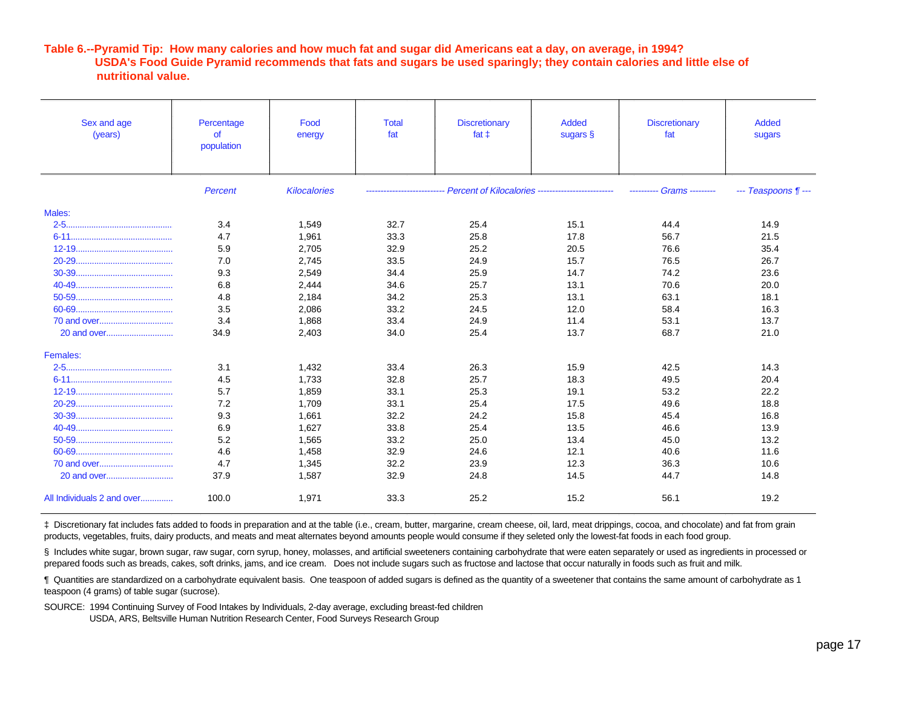#### **Table 6.--Pyramid Tip: How many calories and how much fat and sugar did Americans eat a day, on average, in 1994? USDA's Food Guide Pyramid recommends that fats and sugars be used sparingly; they contain calories and little else of nutritional value.**

| Sex and age<br>(years)     | Percentage<br>of<br>population | Food<br>energy      | <b>Total</b><br>fat | <b>Discretionary</b><br>fat $\pm$                                             | <b>Added</b><br>sugars § | <b>Discretionary</b><br>fat | <b>Added</b><br>sugars |
|----------------------------|--------------------------------|---------------------|---------------------|-------------------------------------------------------------------------------|--------------------------|-----------------------------|------------------------|
|                            | Percent                        | <b>Kilocalories</b> |                     | -------------------------- Percent of Kilocalories -------------------------- |                          | <b>Grams</b> --------       | --- Teaspoons ¶ ---    |
| Males:                     |                                |                     |                     |                                                                               |                          |                             |                        |
|                            | 3.4                            | 1,549               | 32.7                | 25.4                                                                          | 15.1                     | 44.4                        | 14.9                   |
|                            | 4.7                            | 1.961               | 33.3                | 25.8                                                                          | 17.8                     | 56.7                        | 21.5                   |
|                            | 5.9                            | 2,705               | 32.9                | 25.2                                                                          | 20.5                     | 76.6                        | 35.4                   |
|                            | 7.0                            | 2,745               | 33.5                | 24.9                                                                          | 15.7                     | 76.5                        | 26.7                   |
|                            | 9.3                            | 2,549               | 34.4                | 25.9                                                                          | 14.7                     | 74.2                        | 23.6                   |
|                            | 6.8                            | 2,444               | 34.6                | 25.7                                                                          | 13.1                     | 70.6                        | 20.0                   |
|                            | 4.8                            | 2,184               | 34.2                | 25.3                                                                          | 13.1                     | 63.1                        | 18.1                   |
|                            | 3.5                            | 2,086               | 33.2                | 24.5                                                                          | 12.0                     | 58.4                        | 16.3                   |
|                            | 3.4                            | 1,868               | 33.4                | 24.9                                                                          | 11.4                     | 53.1                        | 13.7                   |
|                            | 34.9                           | 2,403               | 34.0                | 25.4                                                                          | 13.7                     | 68.7                        | 21.0                   |
| Females:                   |                                |                     |                     |                                                                               |                          |                             |                        |
|                            | 3.1                            | 1,432               | 33.4                | 26.3                                                                          | 15.9                     | 42.5                        | 14.3                   |
|                            | 4.5                            | 1.733               | 32.8                | 25.7                                                                          | 18.3                     | 49.5                        | 20.4                   |
|                            | 5.7                            | 1,859               | 33.1                | 25.3                                                                          | 19.1                     | 53.2                        | 22.2                   |
|                            | 7.2                            | 1,709               | 33.1                | 25.4                                                                          | 17.5                     | 49.6                        | 18.8                   |
|                            | 9.3                            | 1.661               | 32.2                | 24.2                                                                          | 15.8                     | 45.4                        | 16.8                   |
|                            | 6.9                            | 1,627               | 33.8                | 25.4                                                                          | 13.5                     | 46.6                        | 13.9                   |
|                            | 5.2                            | 1,565               | 33.2                | 25.0                                                                          | 13.4                     | 45.0                        | 13.2                   |
|                            | 4.6                            | 1.458               | 32.9                | 24.6                                                                          | 12.1                     | 40.6                        | 11.6                   |
|                            | 4.7                            | 1.345               | 32.2                | 23.9                                                                          | 12.3                     | 36.3                        | 10.6                   |
|                            | 37.9                           | 1,587               | 32.9                | 24.8                                                                          | 14.5                     | 44.7                        | 14.8                   |
| All Individuals 2 and over | 100.0                          | 1.971               | 33.3                | 25.2                                                                          | 15.2                     | 56.1                        | 19.2                   |

‡ Discretionary fat includes fats added to foods in preparation and at the table (i.e., cream, butter, margarine, cream cheese, oil, lard, meat drippings, cocoa, and chocolate) and fat from grain products, vegetables, fruits, dairy products, and meats and meat alternates beyond amounts people would consume if they seleted only the lowest-fat foods in each food group.

§ Includes white sugar, brown sugar, raw sugar, corn syrup, honey, molasses, and artificial sweeteners containing carbohydrate that were eaten separately or used as ingredients in processed or prepared foods such as breads, cakes, soft drinks, jams, and ice cream. Does not include sugars such as fructose and lactose that occur naturally in foods such as fruit and milk.

¶ Quantities are standardized on a carbohydrate equivalent basis. One teaspoon of added sugars is defined as the quantity of a sweetener that contains the same amount of carbohydrate as 1 teaspoon (4 grams) of table sugar (sucrose).

SOURCE: 1994 Continuing Survey of Food Intakes by Individuals, 2-day average, excluding breast-fed children

USDA, ARS, Beltsville Human Nutrition Research Center, Food Surveys Research Group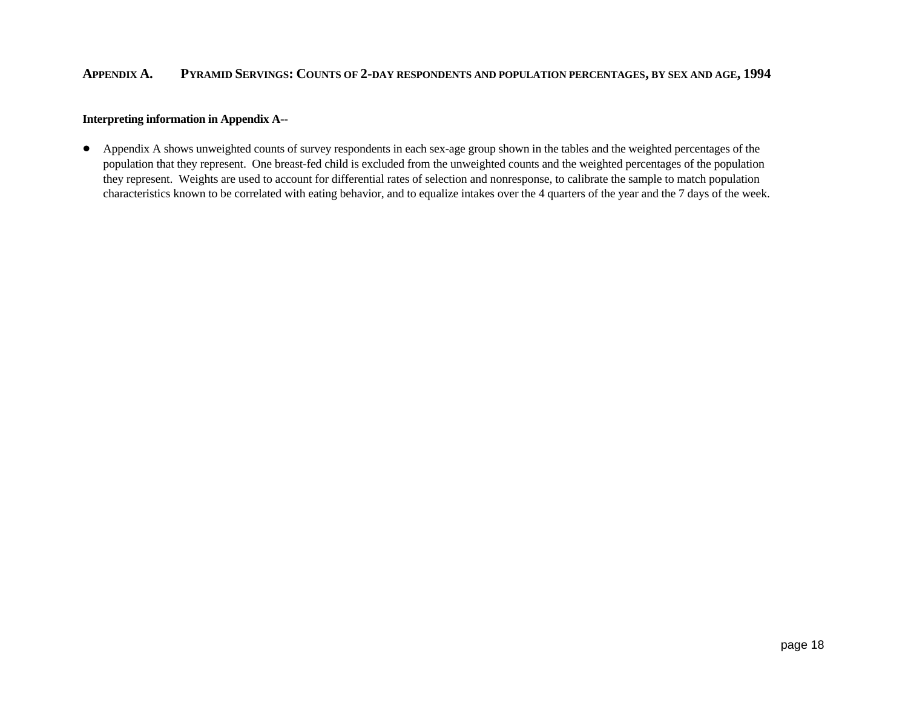## **APPENDIX A. PYRAMID SERVINGS: COUNTS OF 2-DAY RESPONDENTS AND POPULATION PERCENTAGES, BY SEX AND AGE, 1994**

#### **Interpreting information in Appendix A--**

• Appendix A shows unweighted counts of survey respondents in each sex-age group shown in the tables and the weighted percentages of the population that they represent. One breast-fed child is excluded from the unweighted counts and the weighted percentages of the population they represent. Weights are used to account for differential rates of selection and nonresponse, to calibrate the sample to match population characteristics known to be correlated with eating behavior, and to equalize intakes over the 4 quarters of the year and the 7 days of the week.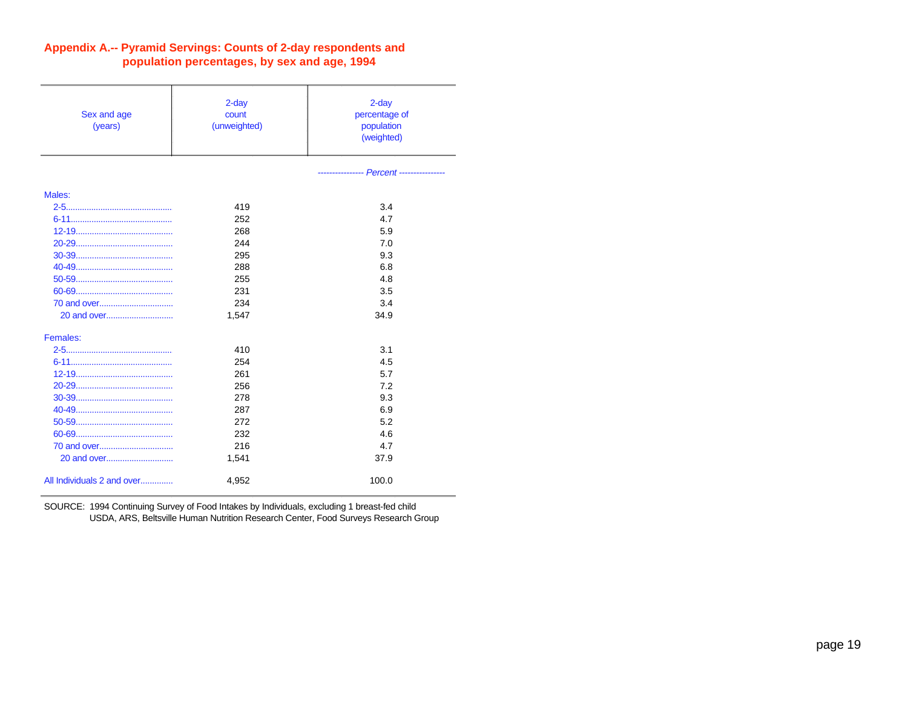| Sex and age<br>(years)     | $2$ -day<br>count<br>(unweighted) | $2$ -day<br>percentage of<br>population<br>(weighted) |
|----------------------------|-----------------------------------|-------------------------------------------------------|
|                            |                                   | --------------- Percent ------------                  |
| Males:                     |                                   |                                                       |
|                            | 419                               | 3.4                                                   |
|                            | 252                               | 4.7                                                   |
|                            | 268                               | 5.9                                                   |
|                            | 244                               | 7.0                                                   |
|                            | 295                               | 9.3                                                   |
|                            | 288                               | 6.8                                                   |
|                            | 255                               | 4.8                                                   |
|                            | 231                               | 3.5                                                   |
|                            | 234                               | 3.4                                                   |
| 20 and over                | 1,547                             | 34.9                                                  |
| Females:                   |                                   |                                                       |
|                            | 410                               | 3.1                                                   |
|                            | 254                               | 4.5                                                   |
|                            | 261                               | 5.7                                                   |
|                            | 256                               | 7.2                                                   |
|                            | 278                               | 9.3                                                   |
|                            | 287                               | 6.9                                                   |
|                            | 272                               | 5.2                                                   |
|                            | 232                               | 4.6                                                   |
|                            | 216                               | 4.7                                                   |
|                            | 1,541                             | 37.9                                                  |
| All Individuals 2 and over | 4,952                             | 100.0                                                 |

# **Appendix A.-- Pyramid Servings: Counts of 2-day respondents and population percentages, by sex and age, 1994**